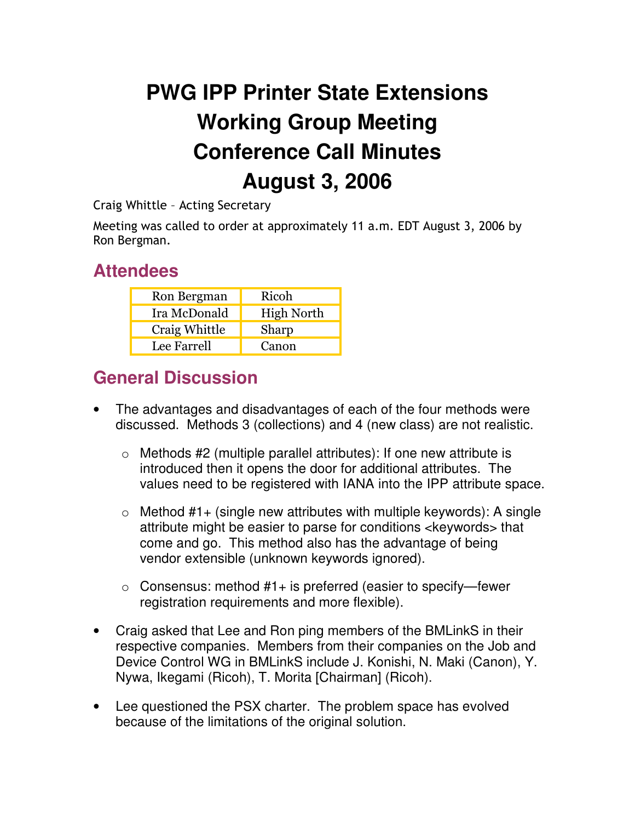## **PWG IPP Printer State Extensions Working Group Meeting Conference Call Minutes August 3, 2006**

Craig Whittle - Acting Secretary

Meeting was called to order at approximately 11 a.m. EDT August 3, 2006 by Ron Bergman.

## **Attendees**

| Ron Bergman   | Ricoh             |
|---------------|-------------------|
| Ira McDonald  | <b>High North</b> |
| Craig Whittle | Sharp             |
| Lee Farrell   | Canon             |

## **General Discussion**

- The advantages and disadvantages of each of the four methods were discussed. Methods 3 (collections) and 4 (new class) are not realistic.
	- $\circ$  Methods #2 (multiple parallel attributes): If one new attribute is introduced then it opens the door for additional attributes. The values need to be registered with IANA into the IPP attribute space.
	- $\circ$  Method #1+ (single new attributes with multiple keywords): A single attribute might be easier to parse for conditions <keywords> that come and go. This method also has the advantage of being vendor extensible (unknown keywords ignored).
	- $\circ$  Consensus: method #1+ is preferred (easier to specify—fewer registration requirements and more flexible).
- Craig asked that Lee and Ron ping members of the BMLinkS in their respective companies. Members from their companies on the Job and Device Control WG in BMLinkS include J. Konishi, N. Maki (Canon), Y. Nywa, Ikegami (Ricoh), T. Morita [Chairman] (Ricoh).
- Lee questioned the PSX charter. The problem space has evolved because of the limitations of the original solution.